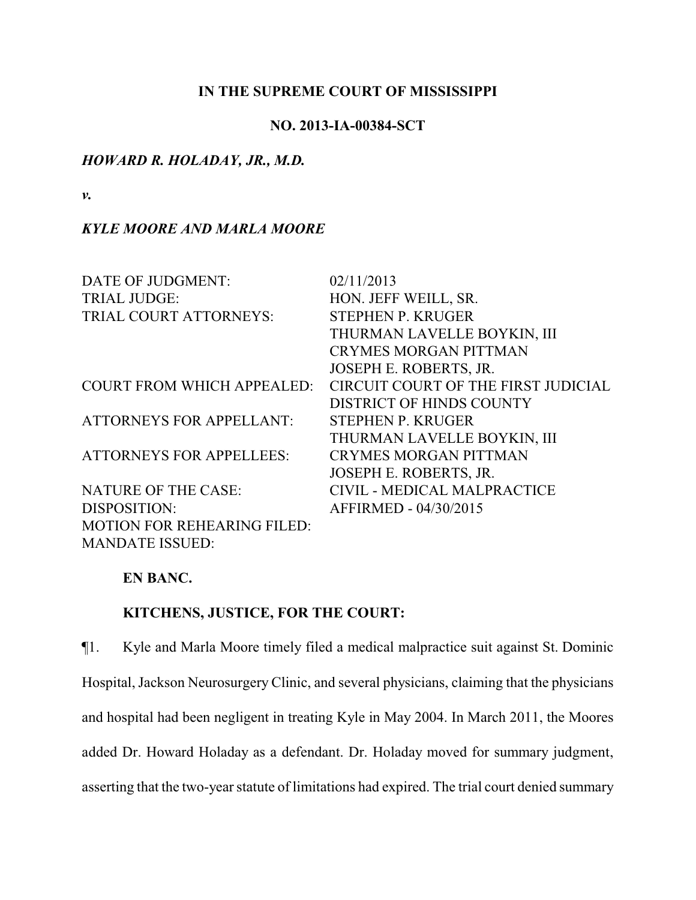## **IN THE SUPREME COURT OF MISSISSIPPI**

## **NO. 2013-IA-00384-SCT**

## *HOWARD R. HOLADAY, JR., M.D.*

*v.*

# *KYLE MOORE AND MARLA MOORE*

| DATE OF JUDGMENT:                  | 02/11/2013                          |
|------------------------------------|-------------------------------------|
| <b>TRIAL JUDGE:</b>                | HON. JEFF WEILL, SR.                |
| TRIAL COURT ATTORNEYS:             | <b>STEPHEN P. KRUGER</b>            |
|                                    | THURMAN LAVELLE BOYKIN, III         |
|                                    | <b>CRYMES MORGAN PITTMAN</b>        |
|                                    | JOSEPH E. ROBERTS, JR.              |
| <b>COURT FROM WHICH APPEALED:</b>  | CIRCUIT COURT OF THE FIRST JUDICIAL |
|                                    | <b>DISTRICT OF HINDS COUNTY</b>     |
| <b>ATTORNEYS FOR APPELLANT:</b>    | <b>STEPHEN P. KRUGER</b>            |
|                                    | THURMAN LAVELLE BOYKIN, III         |
| <b>ATTORNEYS FOR APPELLEES:</b>    | <b>CRYMES MORGAN PITTMAN</b>        |
|                                    | JOSEPH E. ROBERTS, JR.              |
| <b>NATURE OF THE CASE:</b>         | CIVIL - MEDICAL MALPRACTICE         |
| DISPOSITION:                       | AFFIRMED - 04/30/2015               |
| <b>MOTION FOR REHEARING FILED:</b> |                                     |
| <b>MANDATE ISSUED:</b>             |                                     |

## **EN BANC.**

# **KITCHENS, JUSTICE, FOR THE COURT:**

¶1. Kyle and Marla Moore timely filed a medical malpractice suit against St. Dominic Hospital, Jackson Neurosurgery Clinic, and several physicians, claiming that the physicians and hospital had been negligent in treating Kyle in May 2004. In March 2011, the Moores added Dr. Howard Holaday as a defendant. Dr. Holaday moved for summary judgment, asserting that the two-year statute of limitations had expired. The trial court denied summary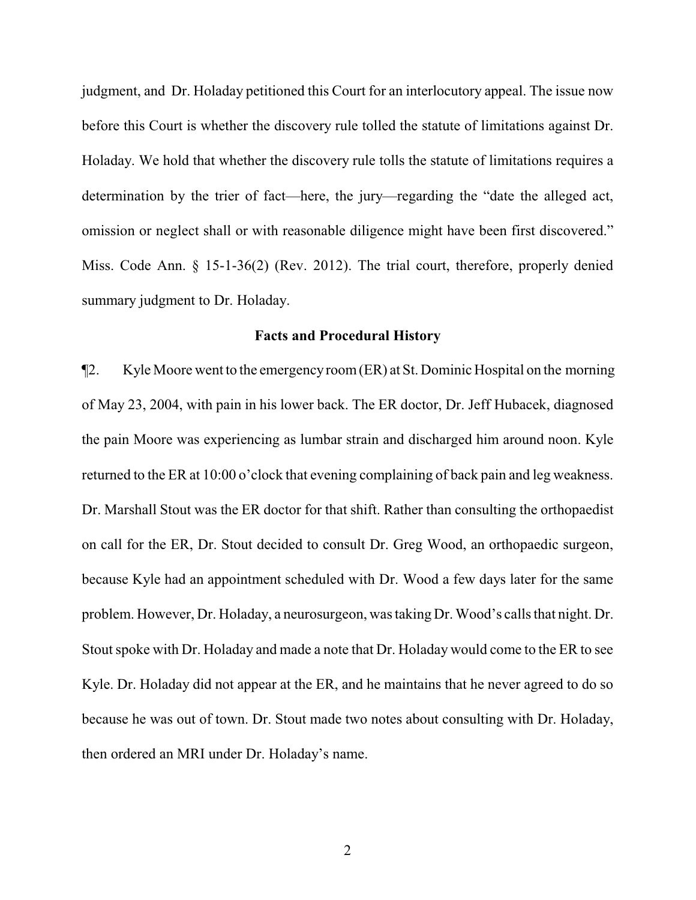judgment, and Dr. Holaday petitioned this Court for an interlocutory appeal. The issue now before this Court is whether the discovery rule tolled the statute of limitations against Dr. Holaday. We hold that whether the discovery rule tolls the statute of limitations requires a determination by the trier of fact—here, the jury—regarding the "date the alleged act, omission or neglect shall or with reasonable diligence might have been first discovered." Miss. Code Ann. § 15-1-36(2) (Rev. 2012). The trial court, therefore, properly denied summary judgment to Dr. Holaday.

#### **Facts and Procedural History**

¶2. Kyle Moore went to the emergencyroom(ER) at St. Dominic Hospital on the morning of May 23, 2004, with pain in his lower back. The ER doctor, Dr. Jeff Hubacek, diagnosed the pain Moore was experiencing as lumbar strain and discharged him around noon. Kyle returned to the ER at 10:00 o'clock that evening complaining of back pain and leg weakness. Dr. Marshall Stout was the ER doctor for that shift. Rather than consulting the orthopaedist on call for the ER, Dr. Stout decided to consult Dr. Greg Wood, an orthopaedic surgeon, because Kyle had an appointment scheduled with Dr. Wood a few days later for the same problem. However, Dr. Holaday, a neurosurgeon, was taking Dr. Wood's calls that night. Dr. Stout spoke with Dr. Holaday and made a note that Dr. Holaday would come to the ER to see Kyle. Dr. Holaday did not appear at the ER, and he maintains that he never agreed to do so because he was out of town. Dr. Stout made two notes about consulting with Dr. Holaday, then ordered an MRI under Dr. Holaday's name.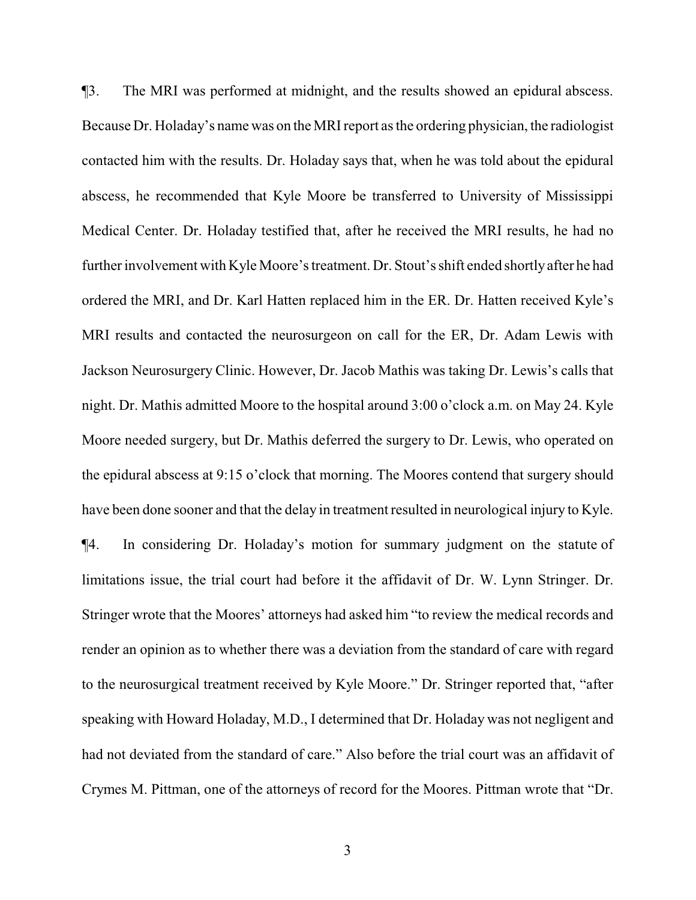¶3. The MRI was performed at midnight, and the results showed an epidural abscess. Because Dr. Holaday's name was on the MRI report as the ordering physician, the radiologist contacted him with the results. Dr. Holaday says that, when he was told about the epidural abscess, he recommended that Kyle Moore be transferred to University of Mississippi Medical Center. Dr. Holaday testified that, after he received the MRI results, he had no further involvement with Kyle Moore's treatment. Dr. Stout's shift ended shortlyafter he had ordered the MRI, and Dr. Karl Hatten replaced him in the ER. Dr. Hatten received Kyle's MRI results and contacted the neurosurgeon on call for the ER, Dr. Adam Lewis with Jackson Neurosurgery Clinic. However, Dr. Jacob Mathis was taking Dr. Lewis's calls that night. Dr. Mathis admitted Moore to the hospital around 3:00 o'clock a.m. on May 24. Kyle Moore needed surgery, but Dr. Mathis deferred the surgery to Dr. Lewis, who operated on the epidural abscess at 9:15 o'clock that morning. The Moores contend that surgery should have been done sooner and that the delay in treatment resulted in neurological injury to Kyle. ¶4. In considering Dr. Holaday's motion for summary judgment on the statute of limitations issue, the trial court had before it the affidavit of Dr. W. Lynn Stringer. Dr. Stringer wrote that the Moores' attorneys had asked him "to review the medical records and render an opinion as to whether there was a deviation from the standard of care with regard to the neurosurgical treatment received by Kyle Moore." Dr. Stringer reported that, "after speaking with Howard Holaday, M.D., I determined that Dr. Holaday was not negligent and had not deviated from the standard of care." Also before the trial court was an affidavit of Crymes M. Pittman, one of the attorneys of record for the Moores. Pittman wrote that "Dr.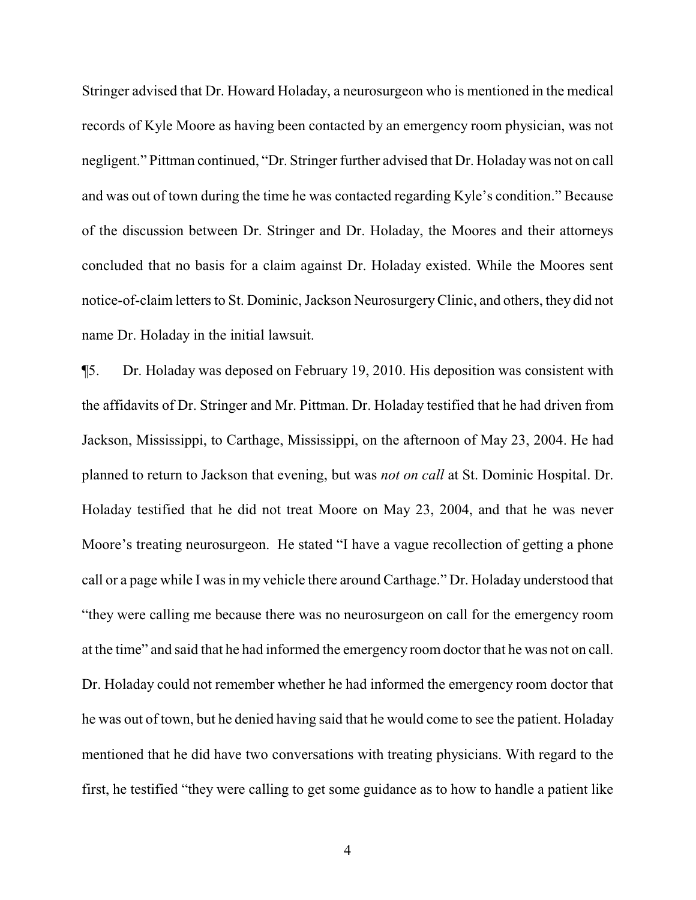Stringer advised that Dr. Howard Holaday, a neurosurgeon who is mentioned in the medical records of Kyle Moore as having been contacted by an emergency room physician, was not negligent." Pittman continued, "Dr. Stringer further advised that Dr. Holaday was not on call and was out of town during the time he was contacted regarding Kyle's condition." Because of the discussion between Dr. Stringer and Dr. Holaday, the Moores and their attorneys concluded that no basis for a claim against Dr. Holaday existed. While the Moores sent notice-of-claim letters to St. Dominic, Jackson NeurosurgeryClinic, and others, they did not name Dr. Holaday in the initial lawsuit.

¶5. Dr. Holaday was deposed on February 19, 2010. His deposition was consistent with the affidavits of Dr. Stringer and Mr. Pittman. Dr. Holaday testified that he had driven from Jackson, Mississippi, to Carthage, Mississippi, on the afternoon of May 23, 2004. He had planned to return to Jackson that evening, but was *not on call* at St. Dominic Hospital. Dr. Holaday testified that he did not treat Moore on May 23, 2004, and that he was never Moore's treating neurosurgeon. He stated "I have a vague recollection of getting a phone call or a page while I was in my vehicle there around Carthage." Dr. Holaday understood that "they were calling me because there was no neurosurgeon on call for the emergency room at the time" and said that he had informed the emergency room doctor that he was not on call. Dr. Holaday could not remember whether he had informed the emergency room doctor that he was out of town, but he denied having said that he would come to see the patient. Holaday mentioned that he did have two conversations with treating physicians. With regard to the first, he testified "they were calling to get some guidance as to how to handle a patient like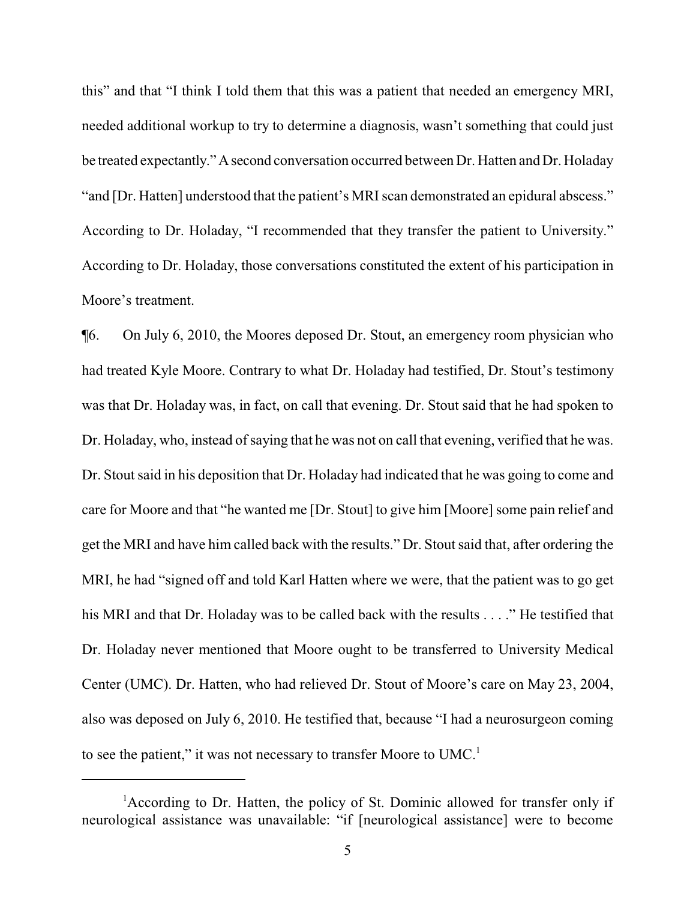this" and that "I think I told them that this was a patient that needed an emergency MRI, needed additional workup to try to determine a diagnosis, wasn't something that could just be treated expectantly." A second conversation occurred between Dr. Hatten and Dr. Holaday "and [Dr. Hatten] understood that the patient's MRI scan demonstrated an epidural abscess." According to Dr. Holaday, "I recommended that they transfer the patient to University." According to Dr. Holaday, those conversations constituted the extent of his participation in Moore's treatment.

¶6. On July 6, 2010, the Moores deposed Dr. Stout, an emergency room physician who had treated Kyle Moore. Contrary to what Dr. Holaday had testified, Dr. Stout's testimony was that Dr. Holaday was, in fact, on call that evening. Dr. Stout said that he had spoken to Dr. Holaday, who, instead of saying that he was not on call that evening, verified that he was. Dr. Stout said in his deposition that Dr. Holaday had indicated that he was going to come and care for Moore and that "he wanted me [Dr. Stout] to give him [Moore] some pain relief and get the MRI and have him called back with the results." Dr. Stout said that, after ordering the MRI, he had "signed off and told Karl Hatten where we were, that the patient was to go get his MRI and that Dr. Holaday was to be called back with the results . . . ." He testified that Dr. Holaday never mentioned that Moore ought to be transferred to University Medical Center (UMC). Dr. Hatten, who had relieved Dr. Stout of Moore's care on May 23, 2004, also was deposed on July 6, 2010. He testified that, because "I had a neurosurgeon coming to see the patient," it was not necessary to transfer Moore to  $UMC<sup>1</sup>$ .

<sup>&</sup>lt;sup>1</sup>According to Dr. Hatten, the policy of St. Dominic allowed for transfer only if neurological assistance was unavailable: "if [neurological assistance] were to become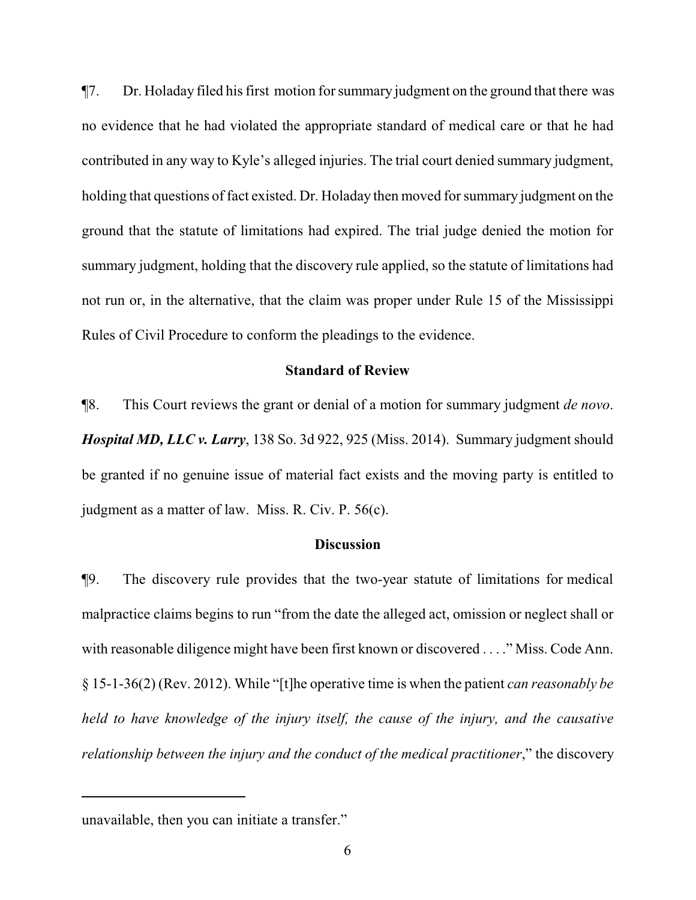¶7. Dr. Holaday filed his first motion for summary judgment on the ground that there was no evidence that he had violated the appropriate standard of medical care or that he had contributed in any way to Kyle's alleged injuries. The trial court denied summary judgment, holding that questions of fact existed. Dr. Holaday then moved for summary judgment on the ground that the statute of limitations had expired. The trial judge denied the motion for summary judgment, holding that the discovery rule applied, so the statute of limitations had not run or, in the alternative, that the claim was proper under Rule 15 of the Mississippi Rules of Civil Procedure to conform the pleadings to the evidence.

# **Standard of Review**

¶8. This Court reviews the grant or denial of a motion for summary judgment *de novo*. *Hospital MD, LLC v. Larry*, 138 So. 3d 922, 925 (Miss. 2014). Summary judgment should be granted if no genuine issue of material fact exists and the moving party is entitled to judgment as a matter of law. Miss. R. Civ. P. 56(c).

## **Discussion**

¶9. The discovery rule provides that the two-year statute of limitations for medical malpractice claims begins to run "from the date the alleged act, omission or neglect shall or with reasonable diligence might have been first known or discovered . . . ." Miss. Code Ann. § 15-1-36(2) (Rev. 2012). While "[t]he operative time is when the patient *can reasonably be held to have knowledge of the injury itself, the cause of the injury, and the causative relationship between the injury and the conduct of the medical practitioner*," the discovery

unavailable, then you can initiate a transfer."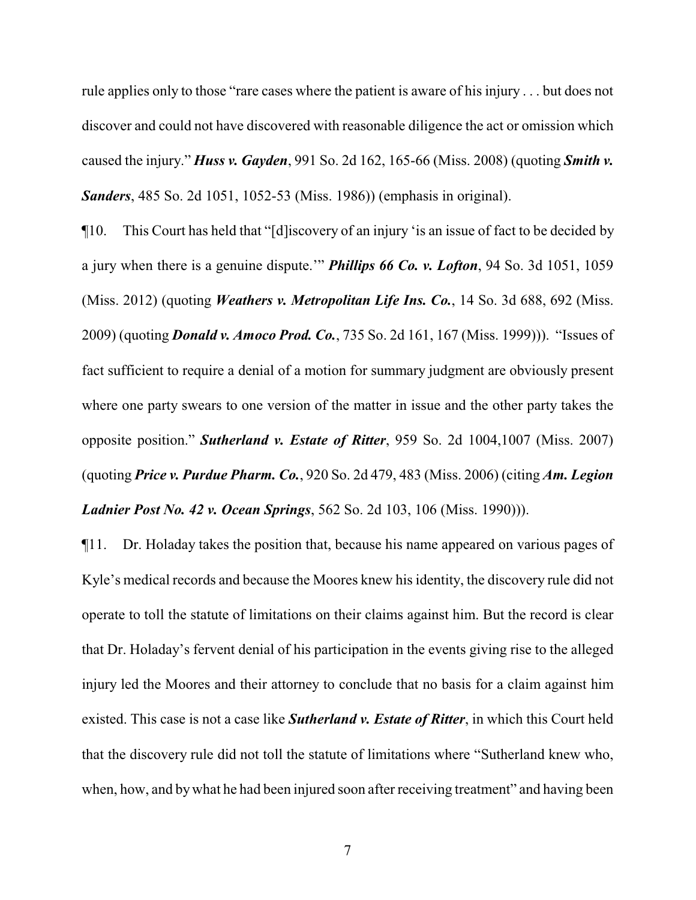rule applies only to those "rare cases where the patient is aware of his injury . . . but does not discover and could not have discovered with reasonable diligence the act or omission which caused the injury." *Huss v. Gayden*, 991 So. 2d 162, 165-66 (Miss. 2008) (quoting *Smith v. Sanders*, 485 So. 2d 1051, 1052-53 (Miss. 1986)) (emphasis in original).

¶10. This Court has held that "[d]iscovery of an injury 'is an issue of fact to be decided by a jury when there is a genuine dispute.'" *Phillips 66 Co. v. Lofton*, 94 So. 3d 1051, 1059 (Miss. 2012) (quoting *Weathers v. Metropolitan Life Ins. Co.*, 14 So. 3d 688, 692 (Miss. 2009) (quoting *Donald v. Amoco Prod. Co.*, 735 So. 2d 161, 167 (Miss. 1999))). "Issues of fact sufficient to require a denial of a motion for summary judgment are obviously present where one party swears to one version of the matter in issue and the other party takes the opposite position." *Sutherland v. Estate of Ritter*, 959 So. 2d 1004,1007 (Miss. 2007) (quoting *Price v. Purdue Pharm. Co.*, 920 So. 2d 479, 483 (Miss. 2006) (citing *Am. Legion Ladnier Post No. 42 v. Ocean Springs*, 562 So. 2d 103, 106 (Miss. 1990))).

¶11. Dr. Holaday takes the position that, because his name appeared on various pages of Kyle's medical records and because the Moores knew his identity, the discovery rule did not operate to toll the statute of limitations on their claims against him. But the record is clear that Dr. Holaday's fervent denial of his participation in the events giving rise to the alleged injury led the Moores and their attorney to conclude that no basis for a claim against him existed. This case is not a case like *Sutherland v. Estate of Ritter*, in which this Court held that the discovery rule did not toll the statute of limitations where "Sutherland knew who, when, how, and bywhat he had been injured soon after receiving treatment" and having been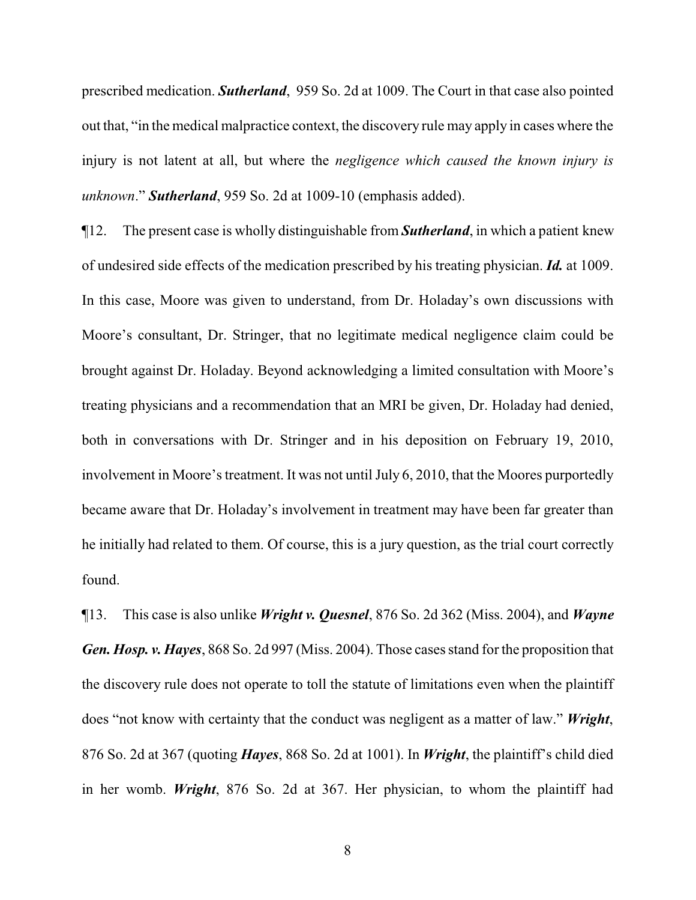prescribed medication. *Sutherland*, 959 So. 2d at 1009. The Court in that case also pointed out that, "in the medical malpractice context, the discovery rule may apply in cases where the injury is not latent at all, but where the *negligence which caused the known injury is unknown*." *Sutherland*, 959 So. 2d at 1009-10 (emphasis added).

¶12. The present case is wholly distinguishable from *Sutherland*, in which a patient knew of undesired side effects of the medication prescribed by his treating physician. *Id.* at 1009. In this case, Moore was given to understand, from Dr. Holaday's own discussions with Moore's consultant, Dr. Stringer, that no legitimate medical negligence claim could be brought against Dr. Holaday. Beyond acknowledging a limited consultation with Moore's treating physicians and a recommendation that an MRI be given, Dr. Holaday had denied, both in conversations with Dr. Stringer and in his deposition on February 19, 2010, involvement in Moore's treatment. It was not until July 6, 2010, that the Moores purportedly became aware that Dr. Holaday's involvement in treatment may have been far greater than he initially had related to them. Of course, this is a jury question, as the trial court correctly found.

¶13. This case is also unlike *Wright v. Quesnel*, 876 So. 2d 362 (Miss. 2004), and *Wayne Gen. Hosp. v. Hayes*, 868 So. 2d 997 (Miss. 2004). Those cases stand for the proposition that the discovery rule does not operate to toll the statute of limitations even when the plaintiff does "not know with certainty that the conduct was negligent as a matter of law." *Wright*, 876 So. 2d at 367 (quoting *Hayes*, 868 So. 2d at 1001). In *Wright*, the plaintiff's child died in her womb. *Wright*, 876 So. 2d at 367. Her physician, to whom the plaintiff had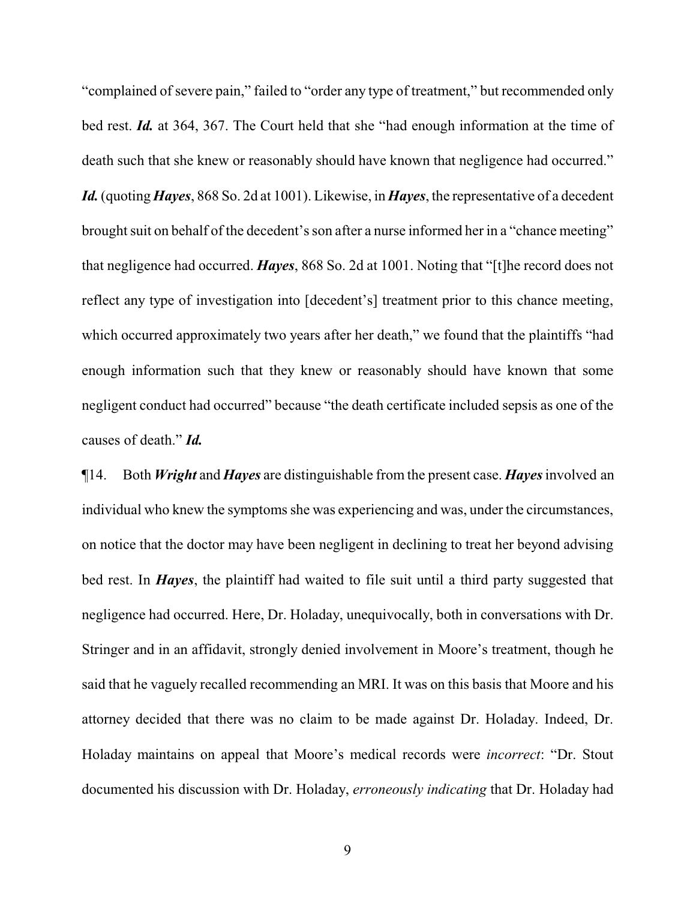"complained of severe pain," failed to "order any type of treatment," but recommended only bed rest. *Id.* at 364, 367. The Court held that she "had enough information at the time of death such that she knew or reasonably should have known that negligence had occurred." *Id.*(quoting *Hayes*, 868 So. 2d at 1001). Likewise, in *Hayes*, the representative of a decedent brought suit on behalf of the decedent's son after a nurse informed her in a "chance meeting" that negligence had occurred. *Hayes*, 868 So. 2d at 1001. Noting that "[t]he record does not reflect any type of investigation into [decedent's] treatment prior to this chance meeting, which occurred approximately two years after her death," we found that the plaintiffs "had enough information such that they knew or reasonably should have known that some negligent conduct had occurred" because "the death certificate included sepsis as one of the causes of death." *Id.*

¶14. Both *Wright* and *Hayes* are distinguishable from the present case. *Hayes*involved an individual who knew the symptoms she was experiencing and was, under the circumstances, on notice that the doctor may have been negligent in declining to treat her beyond advising bed rest. In *Hayes*, the plaintiff had waited to file suit until a third party suggested that negligence had occurred. Here, Dr. Holaday, unequivocally, both in conversations with Dr. Stringer and in an affidavit, strongly denied involvement in Moore's treatment, though he said that he vaguely recalled recommending an MRI. It was on this basis that Moore and his attorney decided that there was no claim to be made against Dr. Holaday. Indeed, Dr. Holaday maintains on appeal that Moore's medical records were *incorrect*: "Dr. Stout documented his discussion with Dr. Holaday, *erroneously indicating* that Dr. Holaday had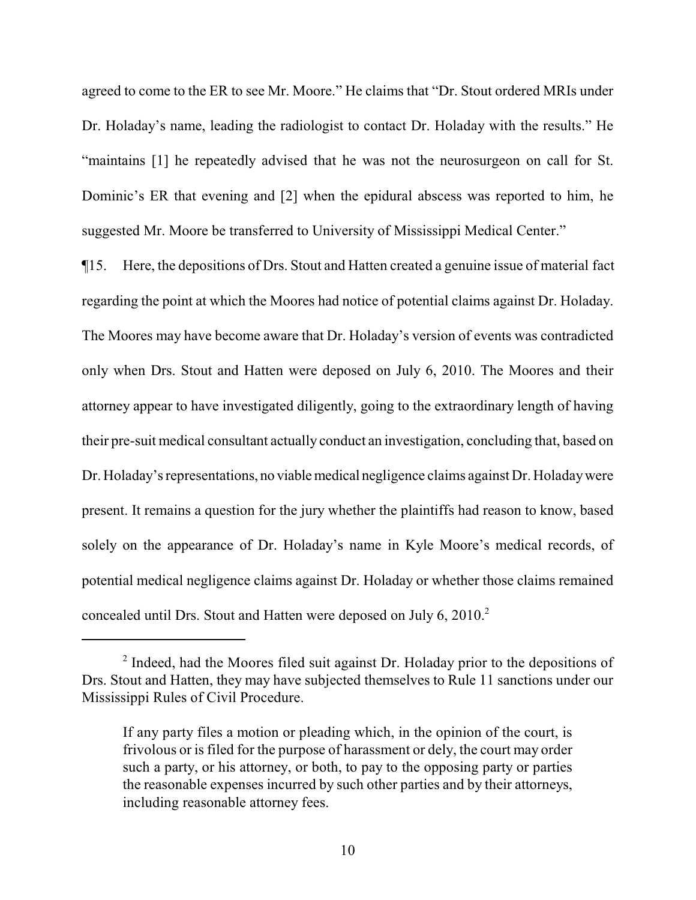agreed to come to the ER to see Mr. Moore." He claims that "Dr. Stout ordered MRIs under Dr. Holaday's name, leading the radiologist to contact Dr. Holaday with the results." He "maintains [1] he repeatedly advised that he was not the neurosurgeon on call for St. Dominic's ER that evening and [2] when the epidural abscess was reported to him, he suggested Mr. Moore be transferred to University of Mississippi Medical Center."

¶15. Here, the depositions of Drs. Stout and Hatten created a genuine issue of material fact regarding the point at which the Moores had notice of potential claims against Dr. Holaday. The Moores may have become aware that Dr. Holaday's version of events was contradicted only when Drs. Stout and Hatten were deposed on July 6, 2010. The Moores and their attorney appear to have investigated diligently, going to the extraordinary length of having their pre-suit medical consultant actually conduct an investigation, concluding that, based on Dr. Holaday's representations, no viable medical negligence claims against Dr. Holaday were present. It remains a question for the jury whether the plaintiffs had reason to know, based solely on the appearance of Dr. Holaday's name in Kyle Moore's medical records, of potential medical negligence claims against Dr. Holaday or whether those claims remained concealed until Drs. Stout and Hatten were deposed on July 6, 2010.<sup>2</sup>

<sup>&</sup>lt;sup>2</sup> Indeed, had the Moores filed suit against Dr. Holaday prior to the depositions of Drs. Stout and Hatten, they may have subjected themselves to Rule 11 sanctions under our Mississippi Rules of Civil Procedure.

If any party files a motion or pleading which, in the opinion of the court, is frivolous or is filed for the purpose of harassment or dely, the court may order such a party, or his attorney, or both, to pay to the opposing party or parties the reasonable expenses incurred by such other parties and by their attorneys, including reasonable attorney fees.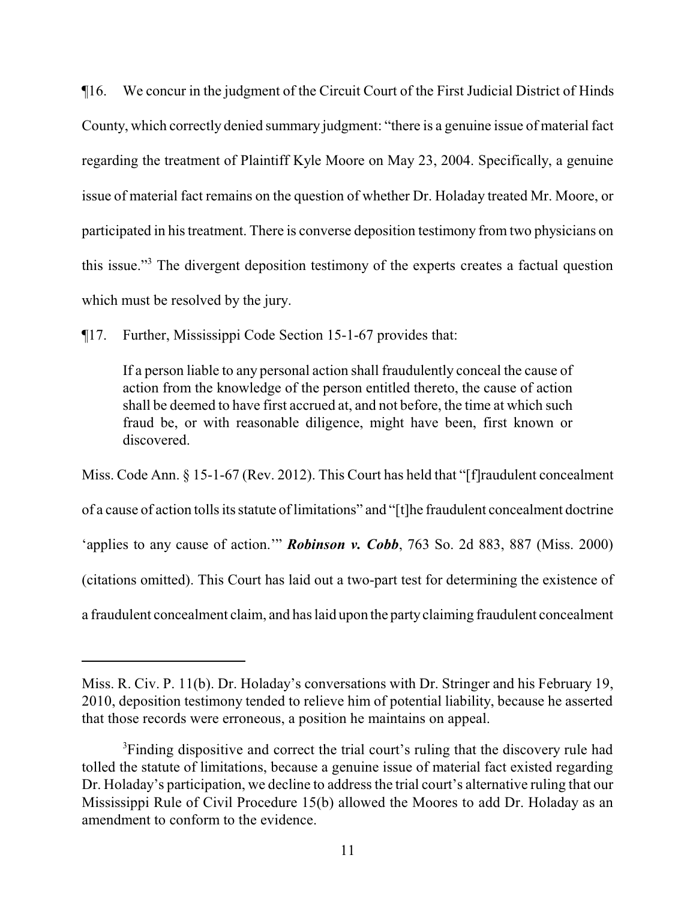¶16. We concur in the judgment of the Circuit Court of the First Judicial District of Hinds County, which correctly denied summary judgment: "there is a genuine issue of material fact regarding the treatment of Plaintiff Kyle Moore on May 23, 2004. Specifically, a genuine issue of material fact remains on the question of whether Dr. Holaday treated Mr. Moore, or participated in his treatment. There is converse deposition testimony from two physicians on this issue."<sup>3</sup> The divergent deposition testimony of the experts creates a factual question which must be resolved by the jury.

¶17. Further, Mississippi Code Section 15-1-67 provides that:

If a person liable to any personal action shall fraudulently conceal the cause of action from the knowledge of the person entitled thereto, the cause of action shall be deemed to have first accrued at, and not before, the time at which such fraud be, or with reasonable diligence, might have been, first known or discovered.

Miss. Code Ann. § 15-1-67 (Rev. 2012). This Court has held that "[f]raudulent concealment of a cause of action tolls its statute of limitations" and "[t]he fraudulent concealment doctrine 'applies to any cause of action.'" *Robinson v. Cobb*, 763 So. 2d 883, 887 (Miss. 2000) (citations omitted). This Court has laid out a two-part test for determining the existence of a fraudulent concealment claim, and has laid upon the partyclaiming fraudulent concealment

Miss. R. Civ. P. 11(b). Dr. Holaday's conversations with Dr. Stringer and his February 19, 2010, deposition testimony tended to relieve him of potential liability, because he asserted that those records were erroneous, a position he maintains on appeal.

<sup>&</sup>lt;sup>3</sup>Finding dispositive and correct the trial court's ruling that the discovery rule had tolled the statute of limitations, because a genuine issue of material fact existed regarding Dr. Holaday's participation, we decline to address the trial court's alternative ruling that our Mississippi Rule of Civil Procedure 15(b) allowed the Moores to add Dr. Holaday as an amendment to conform to the evidence.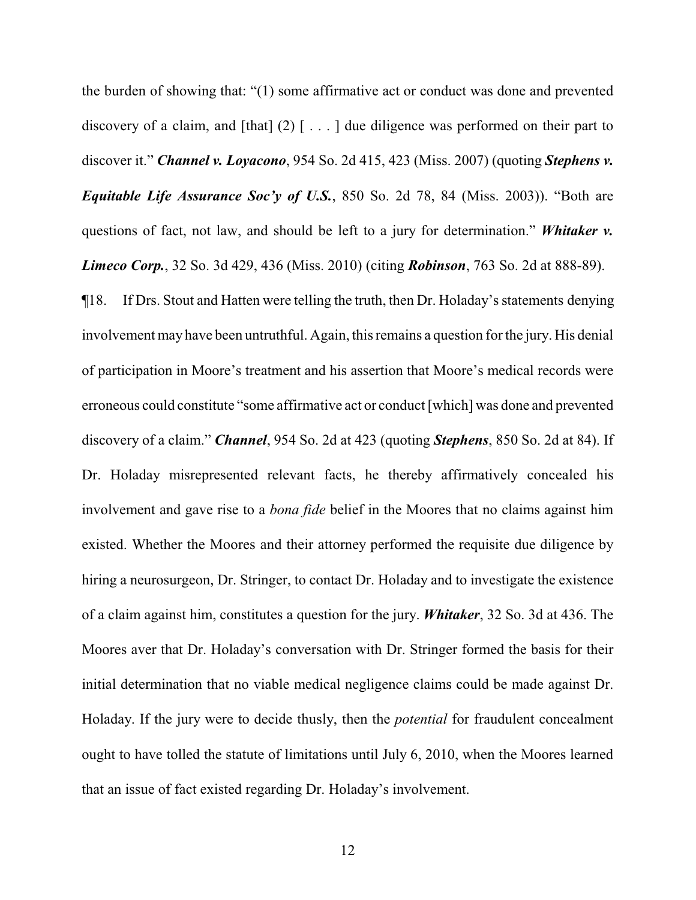the burden of showing that: "(1) some affirmative act or conduct was done and prevented discovery of a claim, and [that]  $(2)$  [...] due diligence was performed on their part to discover it." *Channel v. Loyacono*, 954 So. 2d 415, 423 (Miss. 2007) (quoting *Stephens v. Equitable Life Assurance Soc'y of U.S.*, 850 So. 2d 78, 84 (Miss. 2003)). "Both are questions of fact, not law, and should be left to a jury for determination." *Whitaker v. Limeco Corp.*, 32 So. 3d 429, 436 (Miss. 2010) (citing *Robinson*, 763 So. 2d at 888-89).

¶18. If Drs. Stout and Hatten were telling the truth, then Dr. Holaday's statements denying involvement may have been untruthful. Again, this remains a question for the jury. His denial of participation in Moore's treatment and his assertion that Moore's medical records were erroneous could constitute "some affirmative act or conduct [which] was done and prevented discovery of a claim." *Channel*, 954 So. 2d at 423 (quoting *Stephens*, 850 So. 2d at 84). If Dr. Holaday misrepresented relevant facts, he thereby affirmatively concealed his involvement and gave rise to a *bona fide* belief in the Moores that no claims against him existed. Whether the Moores and their attorney performed the requisite due diligence by hiring a neurosurgeon, Dr. Stringer, to contact Dr. Holaday and to investigate the existence of a claim against him, constitutes a question for the jury. *Whitaker*, 32 So. 3d at 436. The Moores aver that Dr. Holaday's conversation with Dr. Stringer formed the basis for their initial determination that no viable medical negligence claims could be made against Dr. Holaday. If the jury were to decide thusly, then the *potential* for fraudulent concealment ought to have tolled the statute of limitations until July 6, 2010, when the Moores learned that an issue of fact existed regarding Dr. Holaday's involvement.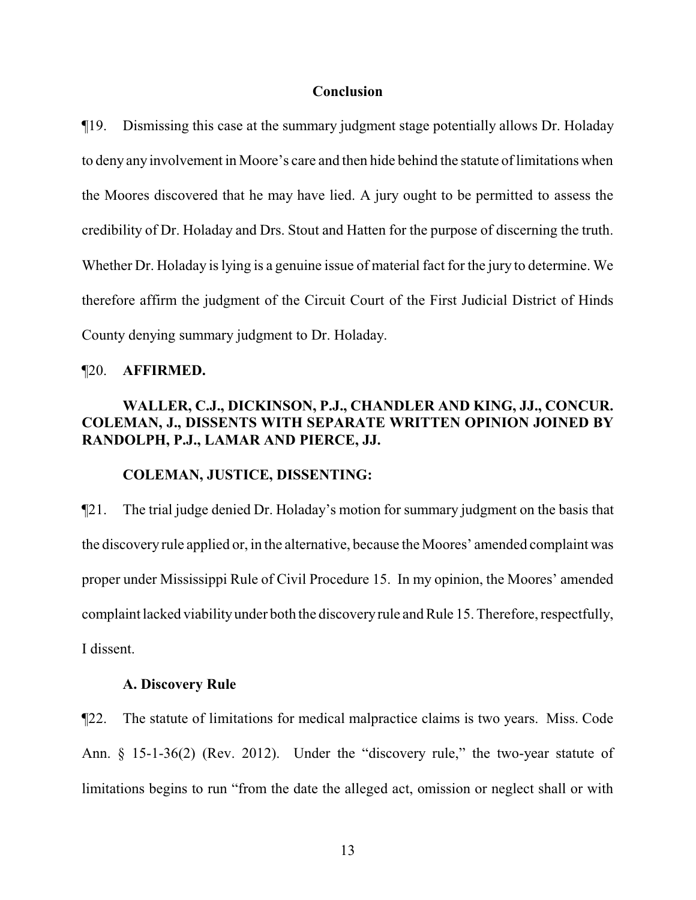#### **Conclusion**

¶19. Dismissing this case at the summary judgment stage potentially allows Dr. Holaday to deny any involvement in Moore's care and then hide behind the statute of limitations when the Moores discovered that he may have lied. A jury ought to be permitted to assess the credibility of Dr. Holaday and Drs. Stout and Hatten for the purpose of discerning the truth. Whether Dr. Holaday is lying is a genuine issue of material fact for the jury to determine. We therefore affirm the judgment of the Circuit Court of the First Judicial District of Hinds County denying summary judgment to Dr. Holaday.

#### ¶20. **AFFIRMED.**

# **WALLER, C.J., DICKINSON, P.J., CHANDLER AND KING, JJ., CONCUR. COLEMAN, J., DISSENTS WITH SEPARATE WRITTEN OPINION JOINED BY RANDOLPH, P.J., LAMAR AND PIERCE, JJ.**

#### **COLEMAN, JUSTICE, DISSENTING:**

¶21. The trial judge denied Dr. Holaday's motion for summary judgment on the basis that the discovery rule applied or, in the alternative, because the Moores' amended complaint was proper under Mississippi Rule of Civil Procedure 15. In my opinion, the Moores' amended complaint lacked viabilityunder both the discoveryrule and Rule 15. Therefore, respectfully, I dissent.

#### **A. Discovery Rule**

¶22. The statute of limitations for medical malpractice claims is two years. Miss. Code Ann. § 15-1-36(2) (Rev. 2012). Under the "discovery rule," the two-year statute of limitations begins to run "from the date the alleged act, omission or neglect shall or with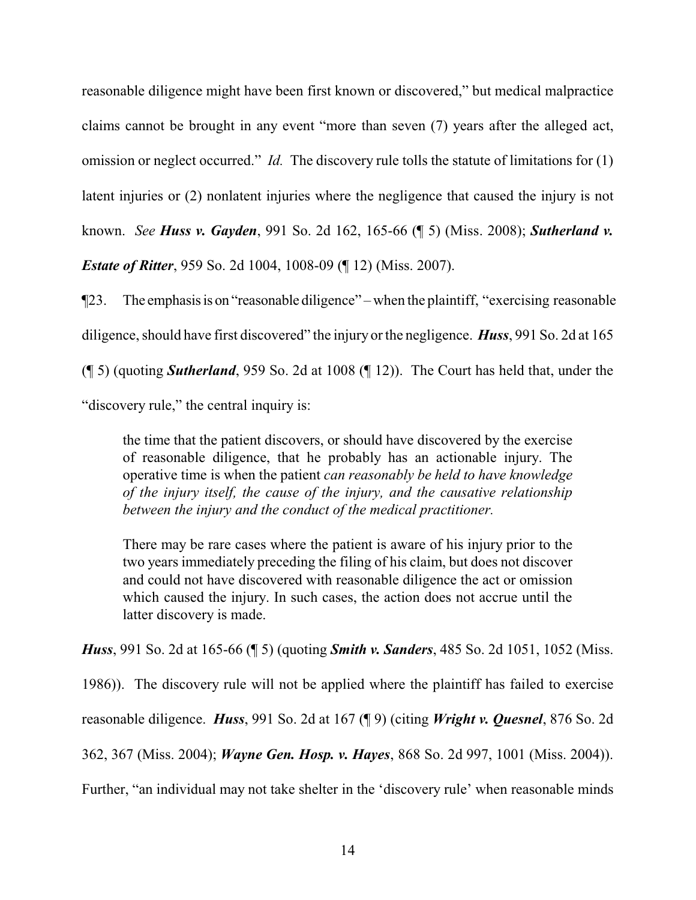reasonable diligence might have been first known or discovered," but medical malpractice claims cannot be brought in any event "more than seven (7) years after the alleged act, omission or neglect occurred." *Id.* The discovery rule tolls the statute of limitations for (1) latent injuries or (2) nonlatent injuries where the negligence that caused the injury is not known. *See Huss v. Gayden*, 991 So. 2d 162, 165-66 (¶ 5) (Miss. 2008); *Sutherland v. Estate of Ritter*, 959 So. 2d 1004, 1008-09 (¶ 12) (Miss. 2007).

¶23. The emphasisis on "reasonable diligence" – when the plaintiff, "exercising reasonable diligence, should have first discovered" the injury or the negligence. *Huss*, 991 So. 2d at 165 (¶ 5) (quoting *Sutherland*, 959 So. 2d at 1008 (¶ 12)). The Court has held that, under the "discovery rule," the central inquiry is:

the time that the patient discovers, or should have discovered by the exercise of reasonable diligence, that he probably has an actionable injury. The operative time is when the patient *can reasonably be held to have knowledge of the injury itself, the cause of the injury, and the causative relationship between the injury and the conduct of the medical practitioner.*

There may be rare cases where the patient is aware of his injury prior to the two years immediately preceding the filing of his claim, but does not discover and could not have discovered with reasonable diligence the act or omission which caused the injury. In such cases, the action does not accrue until the latter discovery is made.

*Huss*, 991 So. 2d at 165-66 (¶ 5) (quoting *Smith v. Sanders*, 485 So. 2d 1051, 1052 (Miss.

1986)). The discovery rule will not be applied where the plaintiff has failed to exercise

reasonable diligence. *Huss*, 991 So. 2d at 167 (¶ 9) (citing *Wright v. Quesnel*, 876 So. 2d

362, 367 (Miss. 2004); *Wayne Gen. Hosp. v. Hayes*, 868 So. 2d 997, 1001 (Miss. 2004)).

Further, "an individual may not take shelter in the 'discovery rule' when reasonable minds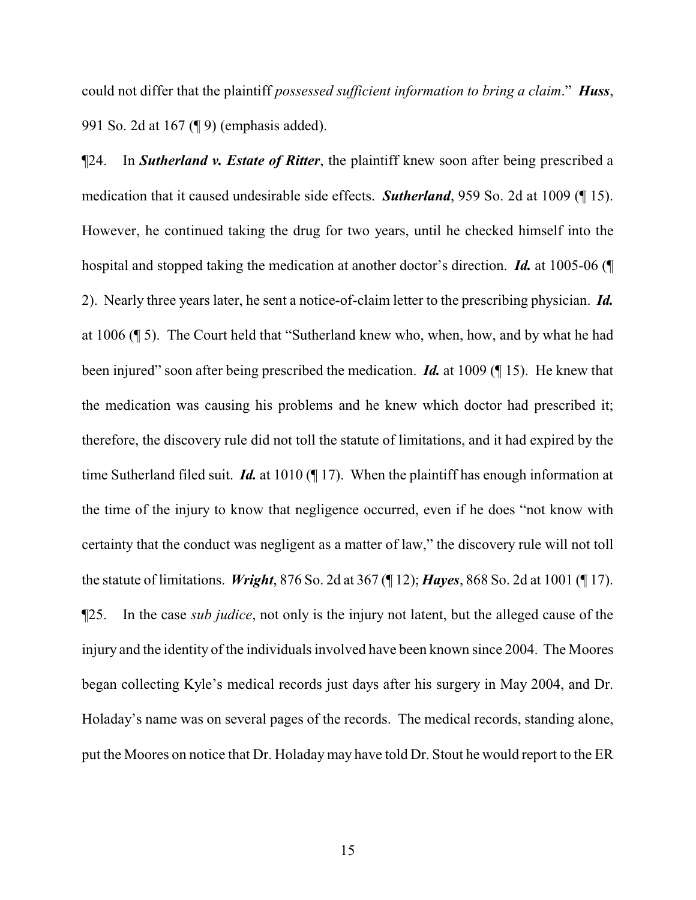could not differ that the plaintiff *possessed sufficient information to bring a claim*." *Huss*, 991 So. 2d at 167 (¶ 9) (emphasis added).

¶24. In *Sutherland v. Estate of Ritter*, the plaintiff knew soon after being prescribed a medication that it caused undesirable side effects. *Sutherland*, 959 So. 2d at 1009 (¶ 15). However, he continued taking the drug for two years, until he checked himself into the hospital and stopped taking the medication at another doctor's direction. *Id.* at 1005-06 (¶ 2). Nearly three years later, he sent a notice-of-claim letter to the prescribing physician. *Id.* at 1006 (¶ 5). The Court held that "Sutherland knew who, when, how, and by what he had been injured" soon after being prescribed the medication. *Id.* at 1009 (¶ 15). He knew that the medication was causing his problems and he knew which doctor had prescribed it; therefore, the discovery rule did not toll the statute of limitations, and it had expired by the time Sutherland filed suit. *Id.* at 1010 (¶ 17). When the plaintiff has enough information at the time of the injury to know that negligence occurred, even if he does "not know with certainty that the conduct was negligent as a matter of law," the discovery rule will not toll the statute of limitations. *Wright*, 876 So. 2d at 367 (¶ 12); *Hayes*, 868 So. 2d at 1001 (¶ 17). ¶25. In the case *sub judice*, not only is the injury not latent, but the alleged cause of the injury and the identity of the individuals involved have been known since 2004. The Moores began collecting Kyle's medical records just days after his surgery in May 2004, and Dr. Holaday's name was on several pages of the records. The medical records, standing alone, put the Moores on notice that Dr. Holaday may have told Dr. Stout he would report to the ER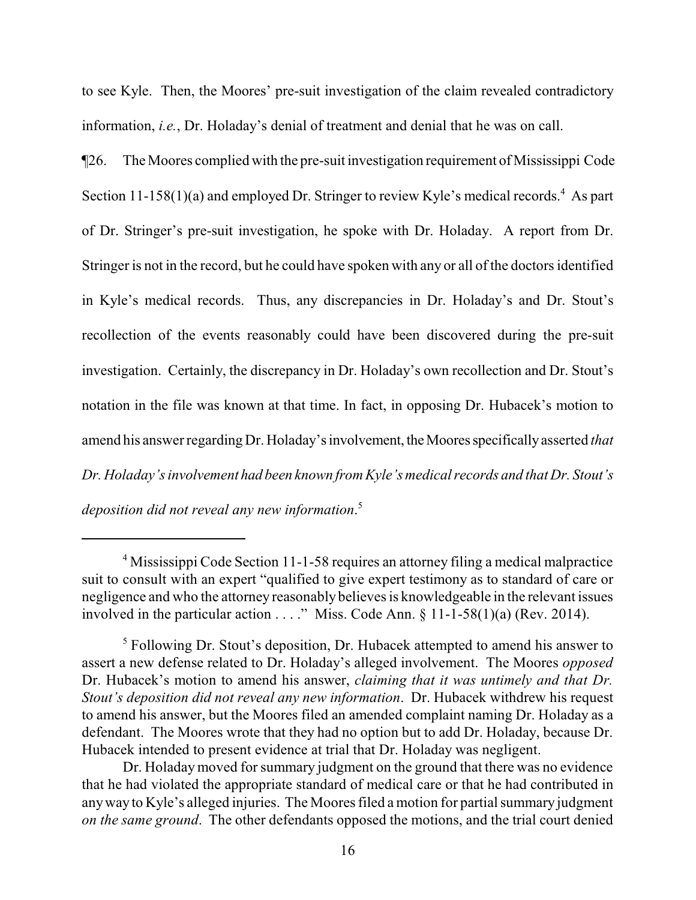to see Kyle. Then, the Moores' pre-suit investigation of the claim revealed contradictory information, *i.e.*, Dr. Holaday's denial of treatment and denial that he was on call.

¶26. The Moores complied with the pre-suit investigation requirement of Mississippi Code Section 11-158(1)(a) and employed Dr. Stringer to review Kyle's medical records.<sup>4</sup> As part of Dr. Stringer's pre-suit investigation, he spoke with Dr. Holaday. A report from Dr. Stringer is not in the record, but he could have spoken with any or all of the doctors identified in Kyle's medical records. Thus, any discrepancies in Dr. Holaday's and Dr. Stout's recollection of the events reasonably could have been discovered during the pre-suit investigation. Certainly, the discrepancy in Dr. Holaday's own recollection and Dr. Stout's notation in the file was known at that time. In fact, in opposing Dr. Hubacek's motion to amend his answer regarding Dr. Holaday's involvement, the Moores specifically asserted *that Dr. Holaday's involvement had been known from Kyle's medical records and that Dr. Stout's*

*deposition did not reveal any new information*. 5

<sup>&</sup>lt;sup>4</sup> Mississippi Code Section 11-1-58 requires an attorney filing a medical malpractice suit to consult with an expert "qualified to give expert testimony as to standard of care or negligence and who the attorney reasonably believes is knowledgeable in the relevant issues involved in the particular action  $\dots$ ." Miss. Code Ann. § 11-1-58(1)(a) (Rev. 2014).

<sup>&</sup>lt;sup>5</sup> Following Dr. Stout's deposition, Dr. Hubacek attempted to amend his answer to assert a new defense related to Dr. Holaday's alleged involvement. The Moores *opposed* Dr. Hubacek's motion to amend his answer, *claiming that it was untimely and that Dr. Stout's deposition did not reveal any new information*. Dr. Hubacek withdrew his request to amend his answer, but the Moores filed an amended complaint naming Dr. Holaday as a defendant. The Moores wrote that they had no option but to add Dr. Holaday, because Dr. Hubacek intended to present evidence at trial that Dr. Holaday was negligent.

Dr. Holaday moved for summary judgment on the ground that there was no evidence that he had violated the appropriate standard of medical care or that he had contributed in anyway to Kyle's alleged injuries. The Moores filed a motion for partial summary judgment *on the same ground*. The other defendants opposed the motions, and the trial court denied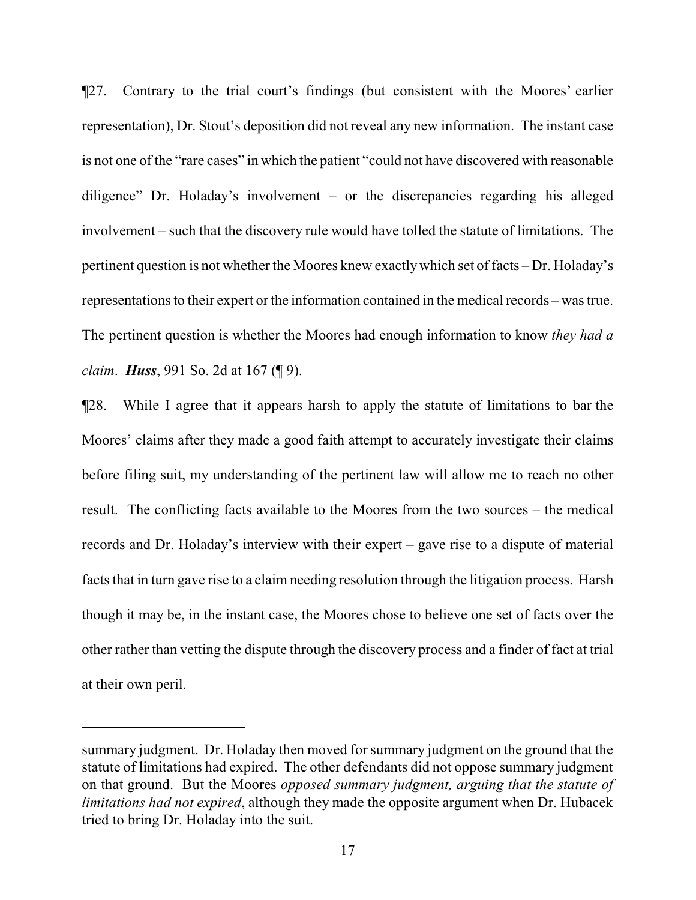¶27. Contrary to the trial court's findings (but consistent with the Moores' earlier representation), Dr. Stout's deposition did not reveal any new information. The instant case is not one of the "rare cases" in which the patient "could not have discovered with reasonable diligence" Dr. Holaday's involvement – or the discrepancies regarding his alleged involvement – such that the discovery rule would have tolled the statute of limitations. The pertinent question is not whether the Moores knew exactlywhich set of facts – Dr. Holaday's representations to their expert or the information contained in the medical records – was true. The pertinent question is whether the Moores had enough information to know *they had a claim*. *Huss*, 991 So. 2d at 167 (¶ 9).

¶28. While I agree that it appears harsh to apply the statute of limitations to bar the Moores' claims after they made a good faith attempt to accurately investigate their claims before filing suit, my understanding of the pertinent law will allow me to reach no other result. The conflicting facts available to the Moores from the two sources – the medical records and Dr. Holaday's interview with their expert – gave rise to a dispute of material facts that in turn gave rise to a claim needing resolution through the litigation process. Harsh though it may be, in the instant case, the Moores chose to believe one set of facts over the other rather than vetting the dispute through the discovery process and a finder of fact at trial at their own peril.

summary judgment. Dr. Holaday then moved for summary judgment on the ground that the statute of limitations had expired. The other defendants did not oppose summary judgment on that ground. But the Moores *opposed summary judgment, arguing that the statute of limitations had not expired*, although they made the opposite argument when Dr. Hubacek tried to bring Dr. Holaday into the suit.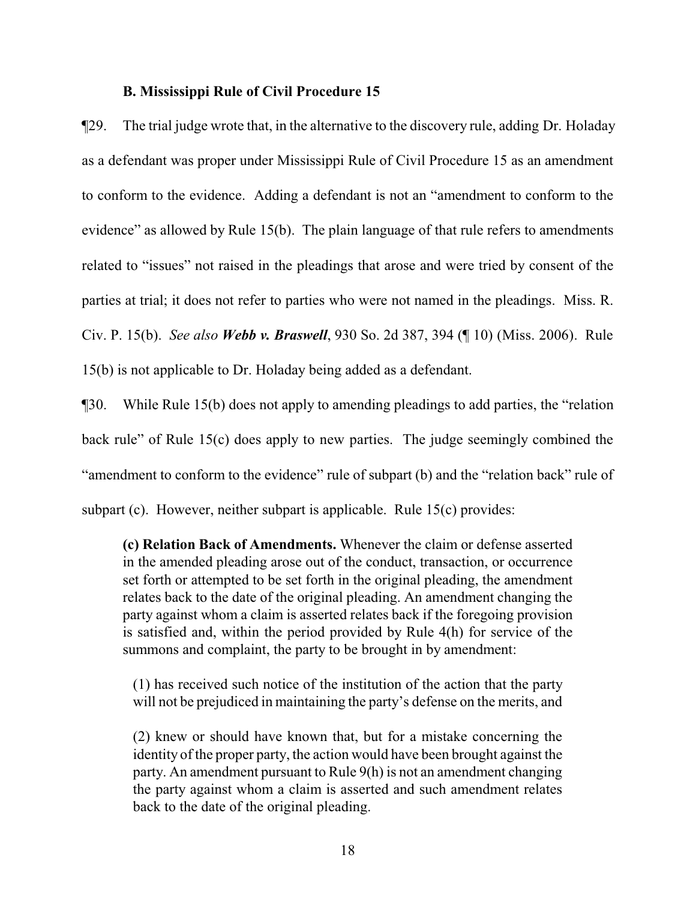#### **B. Mississippi Rule of Civil Procedure 15**

¶29. The trial judge wrote that, in the alternative to the discovery rule, adding Dr. Holaday as a defendant was proper under Mississippi Rule of Civil Procedure 15 as an amendment to conform to the evidence. Adding a defendant is not an "amendment to conform to the evidence" as allowed by Rule 15(b). The plain language of that rule refers to amendments related to "issues" not raised in the pleadings that arose and were tried by consent of the parties at trial; it does not refer to parties who were not named in the pleadings. Miss. R. Civ. P. 15(b). *See also Webb v. Braswell*, 930 So. 2d 387, 394 (¶ 10) (Miss. 2006). Rule 15(b) is not applicable to Dr. Holaday being added as a defendant.

¶30. While Rule 15(b) does not apply to amending pleadings to add parties, the "relation back rule" of Rule 15(c) does apply to new parties. The judge seemingly combined the "amendment to conform to the evidence" rule of subpart (b) and the "relation back" rule of subpart (c). However, neither subpart is applicable. Rule 15(c) provides:

**(c) Relation Back of Amendments.** Whenever the claim or defense asserted in the amended pleading arose out of the conduct, transaction, or occurrence set forth or attempted to be set forth in the original pleading, the amendment relates back to the date of the original pleading. An amendment changing the party against whom a claim is asserted relates back if the foregoing provision is satisfied and, within the period provided by Rule 4(h) for service of the summons and complaint, the party to be brought in by amendment:

(1) has received such notice of the institution of the action that the party will not be prejudiced in maintaining the party's defense on the merits, and

(2) knew or should have known that, but for a mistake concerning the identity of the proper party, the action would have been brought against the party. An amendment pursuant to Rule 9(h) is not an amendment changing the party against whom a claim is asserted and such amendment relates back to the date of the original pleading.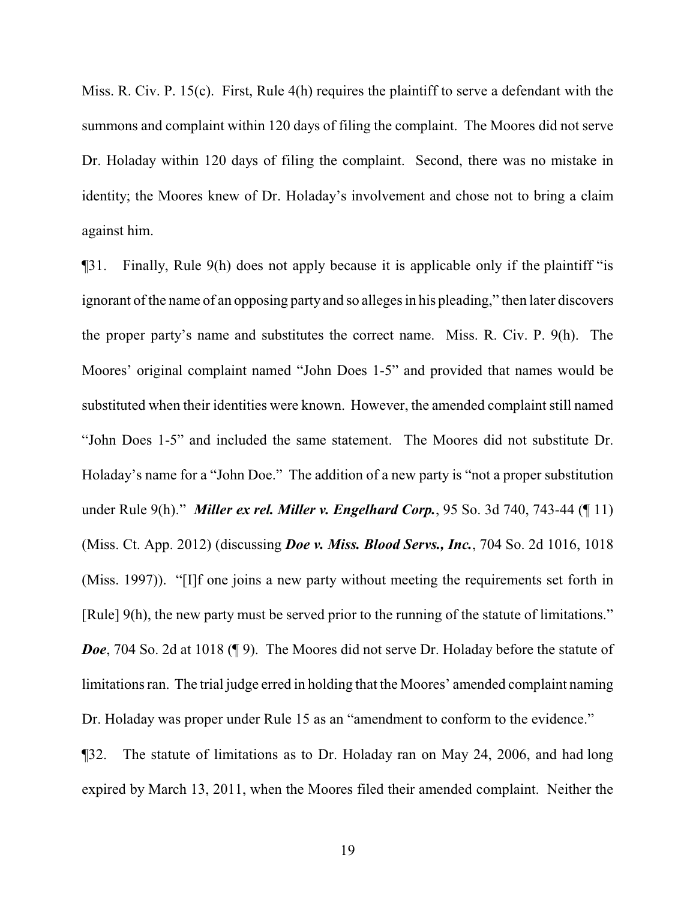Miss. R. Civ. P. 15(c). First, Rule 4(h) requires the plaintiff to serve a defendant with the summons and complaint within 120 days of filing the complaint. The Moores did not serve Dr. Holaday within 120 days of filing the complaint. Second, there was no mistake in identity; the Moores knew of Dr. Holaday's involvement and chose not to bring a claim against him.

¶31. Finally, Rule 9(h) does not apply because it is applicable only if the plaintiff "is ignorant of the name of an opposing party and so alleges in his pleading," then later discovers the proper party's name and substitutes the correct name. Miss. R. Civ. P. 9(h). The Moores' original complaint named "John Does 1-5" and provided that names would be substituted when their identities were known. However, the amended complaint still named "John Does 1-5" and included the same statement. The Moores did not substitute Dr. Holaday's name for a "John Doe." The addition of a new party is "not a proper substitution under Rule 9(h)." *Miller ex rel. Miller v. Engelhard Corp.*, 95 So. 3d 740, 743-44 (¶ 11) (Miss. Ct. App. 2012) (discussing *Doe v. Miss. Blood Servs., Inc.*, 704 So. 2d 1016, 1018 (Miss. 1997)). "[I]f one joins a new party without meeting the requirements set forth in [Rule] 9(h), the new party must be served prior to the running of the statute of limitations." *Doe*, 704 So. 2d at 1018 (¶ 9). The Moores did not serve Dr. Holaday before the statute of limitations ran. The trial judge erred in holding that the Moores' amended complaint naming Dr. Holaday was proper under Rule 15 as an "amendment to conform to the evidence."

¶32. The statute of limitations as to Dr. Holaday ran on May 24, 2006, and had long expired by March 13, 2011, when the Moores filed their amended complaint. Neither the